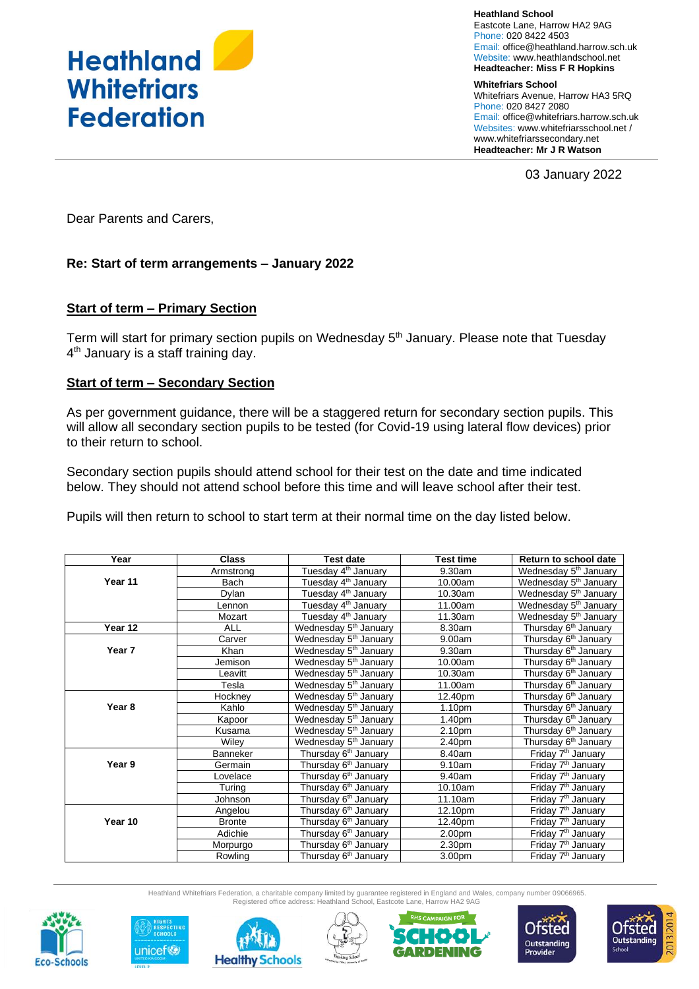

**Heathland School** Eastcote Lane, Harrow HA2 9AG Phone: 020 8422 4503 Email: [office@heathland.harrow.sch.uk](mailto:office@heathland.harrow.sch.uk) Website: www.heathlandschool.net **Headteacher: Miss F R Hopkins**

**Whitefriars School** Whitefriars Avenue, Harrow HA3 5RQ Phone: 020 8427 2080 Email: office@whitefriars.harrow.sch.uk Websites: [www.whitefriarsschool.net](http://www.whitefriarsschool.net/) / www.whitefriarssecondary.net **Headteacher: Mr J R Watson**

03 January 2022

Dear Parents and Carers,

## **Re: Start of term arrangements – January 2022**

## **Start of term – Primary Section**

Term will start for primary section pupils on Wednesday 5<sup>th</sup> January. Please note that Tuesday 4<sup>th</sup> January is a staff training day.

### **Start of term – Secondary Section**

As per government guidance, there will be a staggered return for secondary section pupils. This will allow all secondary section pupils to be tested (for Covid-19 using lateral flow devices) prior to their return to school.

Secondary section pupils should attend school for their test on the date and time indicated below. They should not attend school before this time and will leave school after their test.

Pupils will then return to school to start term at their normal time on the day listed below.

| Year              | <b>Class</b>  | <b>Test date</b>                  | <b>Test time</b>   | Return to school date             |
|-------------------|---------------|-----------------------------------|--------------------|-----------------------------------|
|                   | Armstrong     | Tuesday 4 <sup>th</sup> January   | 9.30am             | Wednesday 5 <sup>th</sup> January |
| Year 11           | Bach          | Tuesday 4 <sup>th</sup> January   | 10.00am            | Wednesday 5 <sup>th</sup> January |
|                   | Dylan         | Tuesday 4 <sup>th</sup> January   | 10.30am            | Wednesday 5 <sup>th</sup> January |
|                   | Lennon        | Tuesday 4 <sup>th</sup> January   | 11.00am            | Wednesday 5 <sup>th</sup> January |
|                   | Mozart        | Tuesday 4 <sup>th</sup> January   | 11.30am            | Wednesday 5 <sup>th</sup> January |
| Year 12           | <b>ALL</b>    | Wednesday 5 <sup>th</sup> January | 8.30am             | Thursday 6 <sup>th</sup> January  |
|                   | Carver        | Wednesday 5 <sup>th</sup> January | 9.00am             | Thursday 6 <sup>th</sup> January  |
| Year 7            | Khan          | Wednesday 5 <sup>th</sup> January | 9.30am             | Thursday 6 <sup>th</sup> January  |
|                   | Jemison       | Wednesday 5 <sup>th</sup> January | 10.00am            | Thursday 6 <sup>th</sup> January  |
|                   | Leavitt       | Wednesday 5 <sup>th</sup> January | 10.30am            | Thursday 6 <sup>th</sup> January  |
|                   | Tesla         | Wednesday 5 <sup>th</sup> January | 11.00am            | Thursday 6 <sup>th</sup> January  |
|                   | Hockney       | Wednesday 5 <sup>th</sup> January | 12.40pm            | Thursday 6 <sup>th</sup> January  |
| Year <sub>8</sub> | Kahlo         | Wednesday 5 <sup>th</sup> January | 1.10 <sub>pm</sub> | Thursday 6 <sup>th</sup> January  |
|                   | Kapoor        | Wednesday 5 <sup>th</sup> January | 1.40 <sub>pm</sub> | Thursday 6 <sup>th</sup> January  |
|                   | Kusama        | Wednesday 5 <sup>th</sup> January | 2.10pm             | Thursday 6 <sup>th</sup> January  |
|                   | Wilev         | Wednesday 5 <sup>th</sup> January | 2.40pm             | Thursday 6 <sup>th</sup> January  |
|                   | Banneker      | Thursday 6 <sup>th</sup> January  | 8.40am             | Friday 7 <sup>th</sup> January    |
| Year 9            | Germain       | Thursday 6 <sup>th</sup> January  | 9.10am             | Friday 7 <sup>th</sup> January    |
|                   | Lovelace      | Thursday 6 <sup>th</sup> January  | 9.40am             | Friday 7 <sup>th</sup> January    |
|                   | Turing        | Thursday 6 <sup>th</sup> January  | 10.10am            | Friday 7 <sup>th</sup> January    |
|                   | Johnson       | Thursday 6 <sup>th</sup> January  | 11.10am            | Friday 7 <sup>th</sup> January    |
|                   | Angelou       | Thursday 6 <sup>th</sup> January  | 12.10pm            | Friday 7 <sup>th</sup> January    |
| Year 10           | <b>Bronte</b> | Thursday 6 <sup>th</sup> January  | 12.40pm            | Friday 7 <sup>th</sup> January    |
|                   | Adichie       | Thursday 6 <sup>th</sup> January  | 2.00pm             | Friday 7 <sup>th</sup> January    |
|                   | Morpurgo      | Thursday 6 <sup>th</sup> January  | 2.30pm             | Friday 7 <sup>th</sup> January    |
|                   | Rowling       | Thursday 6 <sup>th</sup> January  | 3.00pm             | Friday 7 <sup>th</sup> January    |

Heathland Whitefriars Federation, a charitable company limited by guarantee registered in England and Wales, company number 09066965. Registered office address: Heathland School, Eastcote Lane, Harrow HA2 9AG













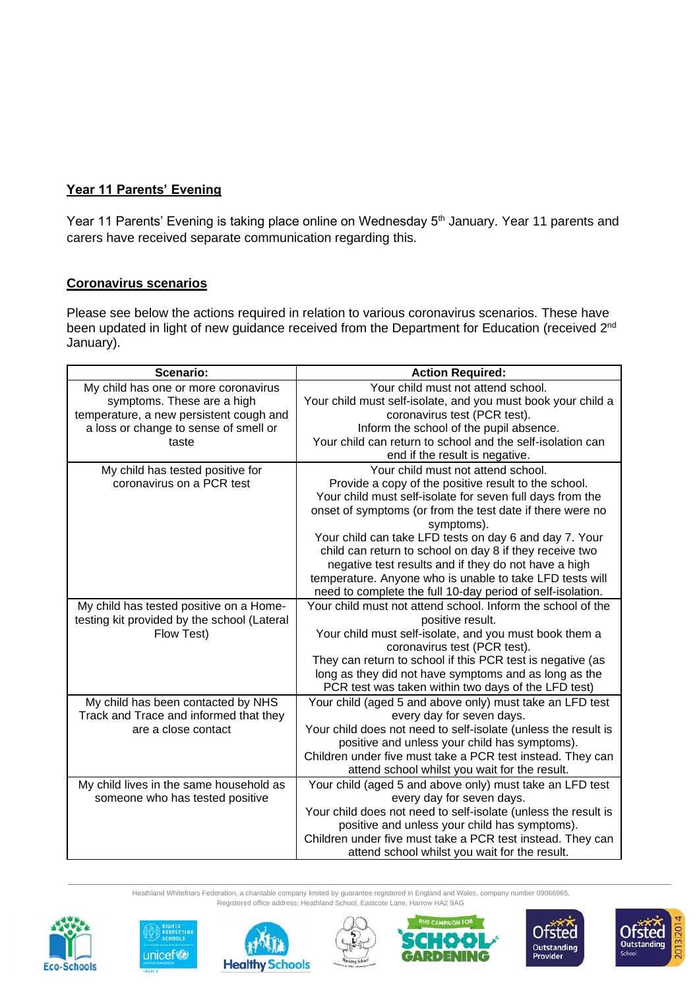# **Year 11 Parents' Evening**

Year 11 Parents' Evening is taking place online on Wednesday 5<sup>th</sup> January. Year 11 parents and carers have received separate communication regarding this.

# **Coronavirus scenarios**

Please see below the actions required in relation to various coronavirus scenarios. These have been updated in light of new guidance received from the Department for Education (received 2<sup>nd</sup> January).

| Scenario:                                   | <b>Action Required:</b>                                        |  |  |
|---------------------------------------------|----------------------------------------------------------------|--|--|
| My child has one or more coronavirus        | Your child must not attend school.                             |  |  |
| symptoms. These are a high                  | Your child must self-isolate, and you must book your child a   |  |  |
| temperature, a new persistent cough and     | coronavirus test (PCR test).                                   |  |  |
| a loss or change to sense of smell or       | Inform the school of the pupil absence.                        |  |  |
| taste                                       | Your child can return to school and the self-isolation can     |  |  |
|                                             | end if the result is negative.                                 |  |  |
| My child has tested positive for            | Your child must not attend school.                             |  |  |
| coronavirus on a PCR test                   | Provide a copy of the positive result to the school.           |  |  |
|                                             | Your child must self-isolate for seven full days from the      |  |  |
|                                             | onset of symptoms (or from the test date if there were no      |  |  |
|                                             | symptoms).                                                     |  |  |
|                                             | Your child can take LFD tests on day 6 and day 7. Your         |  |  |
|                                             | child can return to school on day 8 if they receive two        |  |  |
|                                             | negative test results and if they do not have a high           |  |  |
|                                             | temperature. Anyone who is unable to take LFD tests will       |  |  |
|                                             | need to complete the full 10-day period of self-isolation.     |  |  |
| My child has tested positive on a Home-     | Your child must not attend school. Inform the school of the    |  |  |
| testing kit provided by the school (Lateral | positive result.                                               |  |  |
| Flow Test)                                  | Your child must self-isolate, and you must book them a         |  |  |
|                                             | coronavirus test (PCR test).                                   |  |  |
|                                             | They can return to school if this PCR test is negative (as     |  |  |
|                                             | long as they did not have symptoms and as long as the          |  |  |
|                                             | PCR test was taken within two days of the LFD test)            |  |  |
| My child has been contacted by NHS          | Your child (aged 5 and above only) must take an LFD test       |  |  |
| Track and Trace and informed that they      | every day for seven days.                                      |  |  |
| are a close contact                         | Your child does not need to self-isolate (unless the result is |  |  |
|                                             | positive and unless your child has symptoms).                  |  |  |
|                                             | Children under five must take a PCR test instead. They can     |  |  |
|                                             | attend school whilst you wait for the result.                  |  |  |
| My child lives in the same household as     | Your child (aged 5 and above only) must take an LFD test       |  |  |
| someone who has tested positive             | every day for seven days.                                      |  |  |
|                                             | Your child does not need to self-isolate (unless the result is |  |  |
|                                             | positive and unless your child has symptoms).                  |  |  |
|                                             | Children under five must take a PCR test instead. They can     |  |  |
|                                             | attend school whilst you wait for the result.                  |  |  |

Heathland Whitefriars Federation, a charitable company limited by guarantee registered in England and Wales, company number 09066965. Registered office address: Heathland School, Eastcote Lane, Harrow HA2 9AG